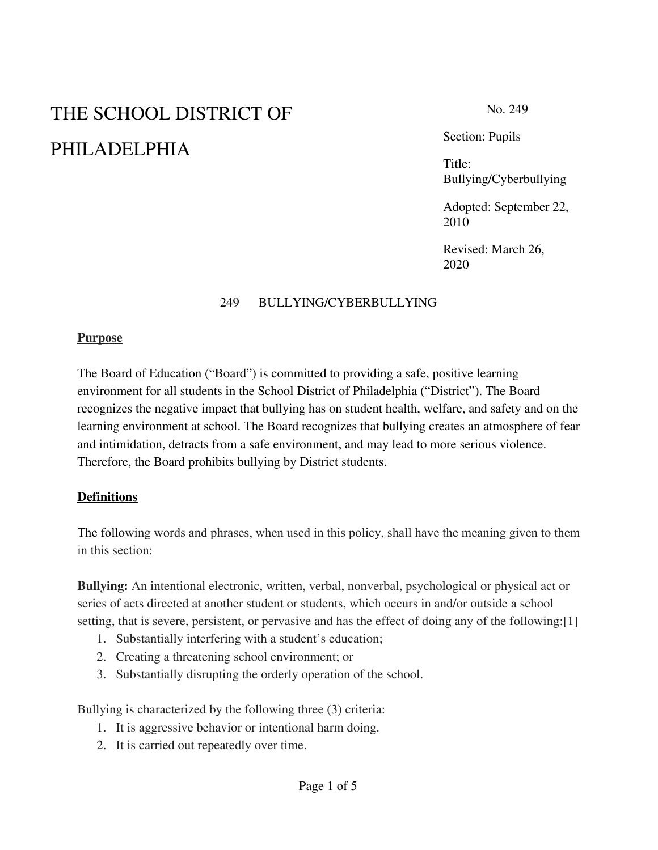# THE SCHOOL DISTRICT OF PHILADELPHIA

No. 249

Section: Pupils

Title: Bullying/Cyberbullying

Adopted: September 22, 2010

Revised: March 26, 2020

#### 249 BULLYING/CYBERBULLYING

#### **Purpose**

The Board of Education ("Board") is committed to providing a safe, positive learning environment for all students in the School District of Philadelphia ("District"). The Board recognizes the negative impact that bullying has on student health, welfare, and safety and on the learning environment at school. The Board recognizes that bullying creates an atmosphere of fear and intimidation, detracts from a safe environment, and may lead to more serious violence. Therefore, the Board prohibits bullying by District students.

#### **Definitions**

The following words and phrases, when used in this policy, shall have the meaning given to them in this section:

**Bullying:** An intentional electronic, written, verbal, nonverbal, psychological or physical act or series of acts directed at another student or students, which occurs in and/or outside a school setting, that is severe, persistent, or pervasive and has the effect of doing any of the following:[1]

- 1. Substantially interfering with a student's education;
- 2. Creating a threatening school environment; or
- 3. Substantially disrupting the orderly operation of the school.

Bullying is characterized by the following three (3) criteria:

- 1. It is aggressive behavior or intentional harm doing.
- 2. It is carried out repeatedly over time.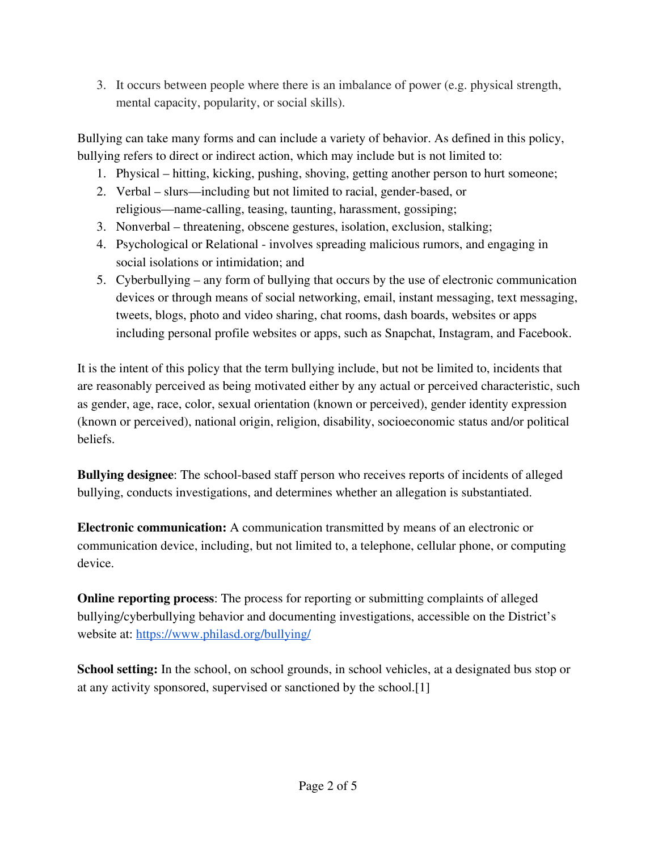3. It occurs between people where there is an imbalance of power (e.g. physical strength, mental capacity, popularity, or social skills).

Bullying can take many forms and can include a variety of behavior. As defined in this policy, bullying refers to direct or indirect action, which may include but is not limited to:

- 1. Physical hitting, kicking, pushing, shoving, getting another person to hurt someone;
- 2. Verbal slurs—including but not limited to racial, gender-based, or religious—name-calling, teasing, taunting, harassment, gossiping;
- 3. Nonverbal threatening, obscene gestures, isolation, exclusion, stalking;
- 4. Psychological or Relational involves spreading malicious rumors, and engaging in social isolations or intimidation; and
- 5. Cyberbullying any form of bullying that occurs by the use of electronic communication devices or through means of social networking, email, instant messaging, text messaging, tweets, blogs, photo and video sharing, chat rooms, dash boards, websites or apps including personal profile websites or apps, such as Snapchat, Instagram, and Facebook.

It is the intent of this policy that the term bullying include, but not be limited to, incidents that are reasonably perceived as being motivated either by any actual or perceived characteristic, such as gender, age, race, color, sexual orientation (known or perceived), gender identity expression (known or perceived), national origin, religion, disability, socioeconomic status and/or political beliefs.

**Bullying designee**: The school-based staff person who receives reports of incidents of alleged bullying, conducts investigations, and determines whether an allegation is substantiated.

**Electronic communication:** A communication transmitted by means of an electronic or communication device, including, but not limited to, a telephone, cellular phone, or computing device.

**Online reporting process**: The process for reporting or submitting complaints of alleged bullying/cyberbullying behavior and documenting investigations, accessible on the District's website at: <https://www.philasd.org/bullying/>

**School setting:** In the school, on school grounds, in school vehicles, at a designated bus stop or at any activity sponsored, supervised or sanctioned by the school.[1]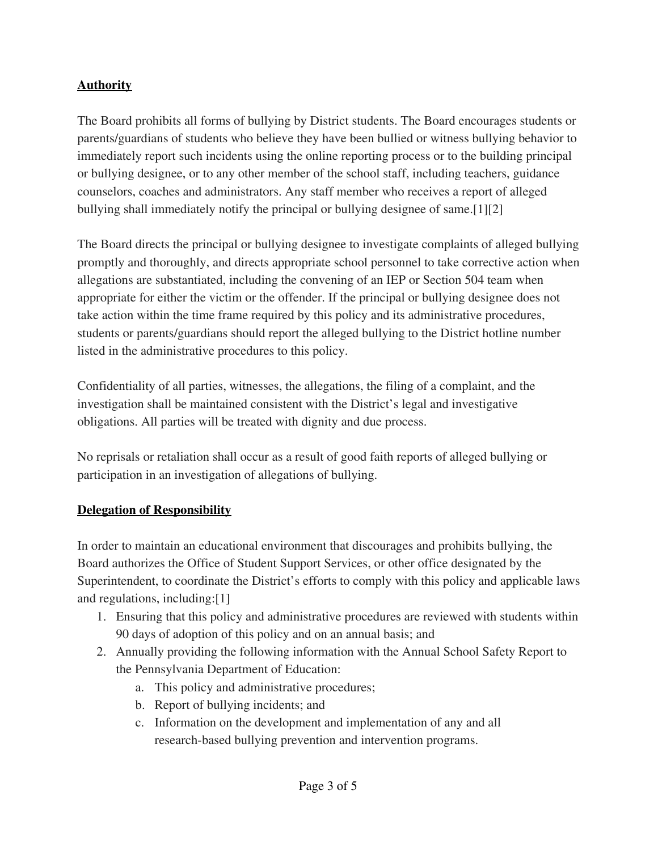### **Authority**

The Board prohibits all forms of bullying by District students. The Board encourages students or parents/guardians of students who believe they have been bullied or witness bullying behavior to immediately report such incidents using the online reporting process or to the building principal or bullying designee, or to any other member of the school staff, including teachers, guidance counselors, coaches and administrators. Any staff member who receives a report of alleged bullying shall immediately notify the principal or bullying designee of same.[1][2]

The Board directs the principal or bullying designee to investigate complaints of alleged bullying promptly and thoroughly, and directs appropriate school personnel to take corrective action when allegations are substantiated, including the convening of an IEP or Section 504 team when appropriate for either the victim or the offender. If the principal or bullying designee does not take action within the time frame required by this policy and its administrative procedures, students or parents/guardians should report the alleged bullying to the District hotline number listed in the administrative procedures to this policy.

Confidentiality of all parties, witnesses, the allegations, the filing of a complaint, and the investigation shall be maintained consistent with the District's legal and investigative obligations. All parties will be treated with dignity and due process.

No reprisals or retaliation shall occur as a result of good faith reports of alleged bullying or participation in an investigation of allegations of bullying.

#### **Delegation of Responsibility**

In order to maintain an educational environment that discourages and prohibits bullying, the Board authorizes the Office of Student Support Services, or other office designated by the Superintendent, to coordinate the District's efforts to comply with this policy and applicable laws and regulations, including:[1]

- 1. Ensuring that this policy and administrative procedures are reviewed with students within 90 days of adoption of this policy and on an annual basis; and
- 2. Annually providing the following information with the Annual School Safety Report to the Pennsylvania Department of Education:
	- a. This policy and administrative procedures;
	- b. Report of bullying incidents; and
	- c. Information on the development and implementation of any and all research-based bullying prevention and intervention programs.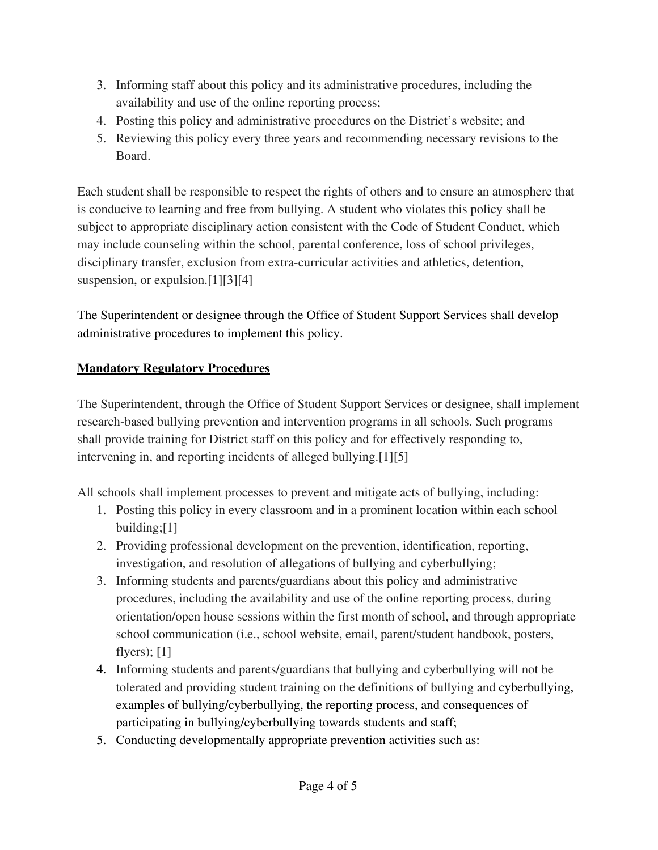- 3. Informing staff about this policy and its administrative procedures, including the availability and use of the online reporting process;
- 4. Posting this policy and administrative procedures on the District's website; and
- 5. Reviewing this policy every three years and recommending necessary revisions to the Board.

Each student shall be responsible to respect the rights of others and to ensure an atmosphere that is conducive to learning and free from bullying. A student who violates this policy shall be subject to appropriate disciplinary action consistent with the Code of Student Conduct, which may include counseling within the school, parental conference, loss of school privileges, disciplinary transfer, exclusion from extra-curricular activities and athletics, detention, suspension, or expulsion.<sup>[1][3][4]</sup>

The Superintendent or designee through the Office of Student Support Services shall develop administrative procedures to implement this policy.

## **Mandatory Regulatory Procedures**

The Superintendent, through the Office of Student Support Services or designee, shall implement research-based bullying prevention and intervention programs in all schools. Such programs shall provide training for District staff on this policy and for effectively responding to, intervening in, and reporting incidents of alleged bullying.[1][5]

All schools shall implement processes to prevent and mitigate acts of bullying, including:

- 1. Posting this policy in every classroom and in a prominent location within each school building;[1]
- 2. Providing professional development on the prevention, identification, reporting, investigation, and resolution of allegations of bullying and cyberbullying;
- 3. Informing students and parents/guardians about this policy and administrative procedures, including the availability and use of the online reporting process, during orientation/open house sessions within the first month of school, and through appropriate school communication (i.e., school website, email, parent/student handbook, posters, flyers); [1]
- 4. Informing students and parents/guardians that bullying and cyberbullying will not be tolerated and providing student training on the definitions of bullying and cyberbullying, examples of bullying/cyberbullying, the reporting process, and consequences of participating in bullying/cyberbullying towards students and staff;
- 5. Conducting developmentally appropriate prevention activities such as: